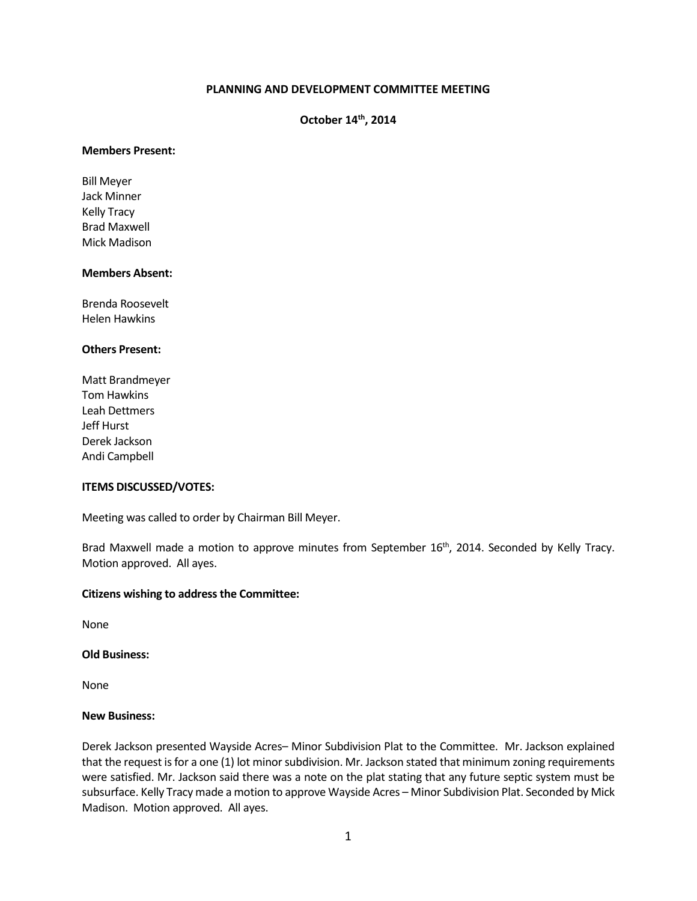# **PLANNING AND DEVELOPMENT COMMITTEE MEETING**

**October 14th, 2014**

## **Members Present:**

Bill Meyer Jack Minner Kelly Tracy Brad Maxwell Mick Madison

## **Members Absent:**

Brenda Roosevelt Helen Hawkins

## **Others Present:**

Matt Brandmeyer Tom Hawkins Leah Dettmers Jeff Hurst Derek Jackson Andi Campbell

## **ITEMS DISCUSSED/VOTES:**

Meeting was called to order by Chairman Bill Meyer.

Brad Maxwell made a motion to approve minutes from September 16<sup>th</sup>, 2014. Seconded by Kelly Tracy. Motion approved. All ayes.

#### **Citizens wishing to address the Committee:**

None

## **Old Business:**

None

#### **New Business:**

Derek Jackson presented Wayside Acres– Minor Subdivision Plat to the Committee. Mr. Jackson explained that the request is for a one (1) lot minor subdivision. Mr. Jackson stated that minimum zoning requirements were satisfied. Mr. Jackson said there was a note on the plat stating that any future septic system must be subsurface. Kelly Tracy made a motion to approve Wayside Acres – Minor Subdivision Plat. Seconded by Mick Madison. Motion approved. All ayes.